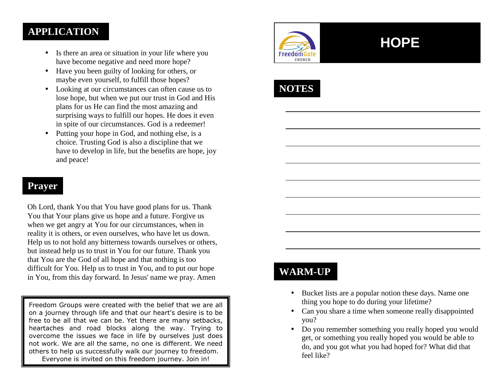### **APPLICATION**

- • Is there an area or situation in your life where you have become negative and need more hope?
- Have you been guilty of looking for others, or maybe even yourself, to fulfill those hopes?
- Looking at our circumstances can often cause us to lose hope, but when we put our trust in God and Hisplans for us He can find the most amazing and surprising ways to fulfill our hopes. He does it even in spite of our circumstances. God is a redeemer!
- Putting your hope in God, and nothing else, is a choice. Trusting God is also a discipline that we have to develop in life, but the benefits are hope, joy and peace!

### **Prayer**

Oh Lord, thank You that You have good plans for us. Thank You that Your plans give us hope and a future. Forgive us when we get angry at You for our circumstances, when in reality it is others, or even ourselves, who have let us down. Help us to not hold any bitterness towards ourselves or others, but instead help us to trust in You for our future. Thank you that You are the God of all hope and that nothing is too difficult for You. Help us to trust in You, and to put our hope in You, from this day forward. In Jesus' name we pray. Amen

Freedom Groups were created with the belief that we are all on a journey through life and that our heart's desire is to be free to be all that we can be. Yet there are many setbacks, heartaches and road blocks along the way. Trying to overcome the issues we face in life by ourselves just does not work. We are all the same, no one is different. We need others to help us successfully walk our journey to freedom. Everyone is invited on this freedom journey. Join in!



# **HOPE**



### **WARM-UP**

- Bucket lists are a popular notion these days. Name one thing you hope to do during your lifetime?
- Can you share a time when someone really disappointed you?
- Do you remember something you really hoped you would get, or something you really hoped you would be able to do, and you got what you had hoped for? What did that feel like?